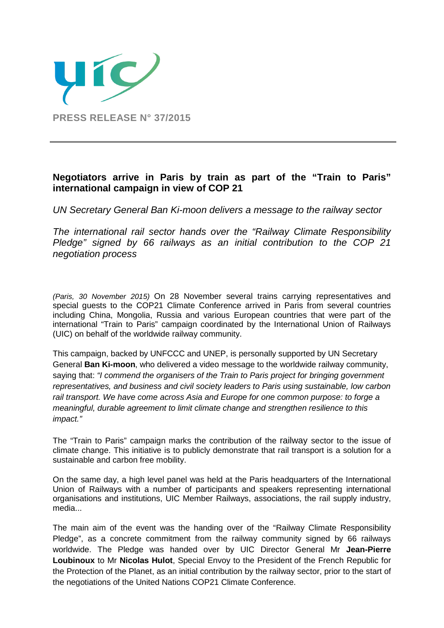

# **Negotiators arrive in Paris by train as part of the "Train to Paris" international campaign in view of COP 21**

*UN Secretary General Ban Ki-moon delivers a message to the railway sector* 

*The international rail sector hands over the "Railway Climate Responsibility Pledge" signed by 66 railways as an initial contribution to the COP 21 negotiation process* 

*(Paris, 30 November 2015)* On 28 November several trains carrying representatives and special guests to the COP21 Climate Conference arrived in Paris from several countries including China, Mongolia, Russia and various European countries that were part of the international "Train to Paris" campaign coordinated by the International Union of Railways (UIC) on behalf of the worldwide railway community.

This campaign, backed by UNFCCC and UNEP, is personally supported by UN Secretary General **Ban Ki-moon**, who delivered a video message to the worldwide railway community, saying that: *"I commend the organisers of the Train to Paris project for bringing government representatives, and business and civil society leaders to Paris using sustainable, low carbon rail transport. We have come across Asia and Europe for one common purpose: to forge a meaningful, durable agreement to limit climate change and strengthen resilience to this impact."*

The "Train to Paris" campaign marks the contribution of the railway sector to the issue of climate change. This initiative is to publicly demonstrate that rail transport is a solution for a sustainable and carbon free mobility.

On the same day, a high level panel was held at the Paris headquarters of the International Union of Railways with a number of participants and speakers representing international organisations and institutions, UIC Member Railways, associations, the rail supply industry, media...

The main aim of the event was the handing over of the "Railway Climate Responsibility Pledge", as a concrete commitment from the railway community signed by 66 railways worldwide. The Pledge was handed over by UIC Director General Mr **Jean-Pierre Loubinoux** to Mr **Nicolas Hulot**, Special Envoy to the President of the French Republic for the Protection of the Planet, as an initial contribution by the railway sector, prior to the start of the negotiations of the United Nations COP21 Climate Conference.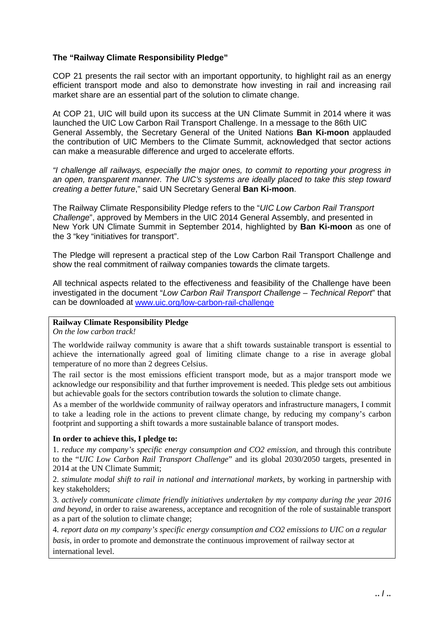### **The "Railway Climate Responsibility Pledge"**

COP 21 presents the rail sector with an important opportunity, to highlight rail as an energy efficient transport mode and also to demonstrate how investing in rail and increasing rail market share are an essential part of the solution to climate change.

At COP 21, UIC will build upon its success at the UN Climate Summit in 2014 where it was launched the UIC Low Carbon Rail Transport Challenge. In a message to the 86th UIC General Assembly, the Secretary General of the United Nations **Ban Ki-moon** applauded the contribution of UIC Members to the Climate Summit, acknowledged that sector actions can make a measurable difference and urged to accelerate efforts.

*"I challenge all railways, especially the major ones, to commit to reporting your progress in an open, transparent manner. The UIC's systems are ideally placed to take this step toward creating a better future*," said UN Secretary General **Ban Ki-moon**.

The Railway Climate Responsibility Pledge refers to the "*UIC Low Carbon Rail Transport Challenge*", approved by Members in the UIC 2014 General Assembly, and presented in New York UN Climate Summit in September 2014, highlighted by **Ban Ki-moon** as one of the 3 "key "initiatives for transport".

The Pledge will represent a practical step of the Low Carbon Rail Transport Challenge and show the real commitment of railway companies towards the climate targets.

All technical aspects related to the effectiveness and feasibility of the Challenge have been investigated in the document "*Low Carbon Rail Transport Challenge – Technical Report*" that can be downloaded at [www.uic.org/low-carbon-rail-challenge](http://www.uic.org/low-carbon-rail-challenge)

## **Railway Climate Responsibility Pledge**

*On the low carbon track!* 

The worldwide railway community is aware that a shift towards sustainable transport is essential to achieve the internationally agreed goal of limiting climate change to a rise in average global temperature of no more than 2 degrees Celsius.

The rail sector is the most emissions efficient transport mode, but as a major transport mode we acknowledge our responsibility and that further improvement is needed. This pledge sets out ambitious but achievable goals for the sectors contribution towards the solution to climate change.

As a member of the worldwide community of railway operators and infrastructure managers, I commit to take a leading role in the actions to prevent climate change, by reducing my company's carbon footprint and supporting a shift towards a more sustainable balance of transport modes.

#### **In order to achieve this, I pledge to:**

1. *reduce my company's specific energy consumption and CO2 emission*, and through this contribute to the "*UIC Low Carbon Rail Transport Challenge*" and its global 2030/2050 targets, presented in 2014 at the UN Climate Summit;

2. *stimulate modal shift to rail in national and international markets*, by working in partnership with key stakeholders;

3. *actively communicate climate friendly initiatives undertaken by my company during the year 2016 and beyond*, in order to raise awareness, acceptance and recognition of the role of sustainable transport as a part of the solution to climate change;

4. *report data on my company's specific energy consumption and CO2 emissions to UIC on a regular basis*, in order to promote and demonstrate the continuous improvement of railway sector at international level.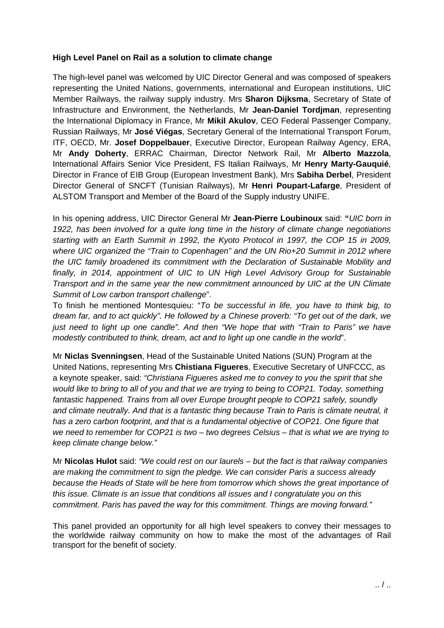#### **High Level Panel on Rail as a solution to climate change**

The high-level panel was welcomed by UIC Director General and was composed of speakers representing the United Nations, governments, international and European institutions, UIC Member Railways, the railway supply industry. Mrs **Sharon Dijksma**, Secretary of State of Infrastructure and Environment, the Netherlands, Mr **Jean-Daniel Tordjman**, representing the International Diplomacy in France, Mr **Mikil Akulov**, CEO Federal Passenger Company, Russian Railways, Mr **José Viégas**, Secretary General of the International Transport Forum, ITF, OECD, Mr. **Josef Doppelbauer**, Executive Director, European Railway Agency, ERA, Mr **Andy Doherty**, ERRAC Chairman, Director Network Rail, Mr **Alberto Mazzola**, International Affairs Senior Vice President, FS Italian Railways, Mr **Henry Marty-Gauquié**, Director in France of EIB Group (European Investment Bank), Mrs **Sabiha Derbel**, President Director General of SNCFT (Tunisian Railways), Mr **Henri Poupart-Lafarge**, President of ALSTOM Transport and Member of the Board of the Supply industry UNIFE.

In his opening address, UIC Director General Mr **Jean-Pierre Loubinoux** said: **"***UIC born in 1922, has been involved for a quite long time in the history of climate change negotiations starting with an Earth Summit in 1992, the Kyoto Protocol in 1997, the COP 15 in 2009, where UIC organized the "Train to Copenhagen" and the UN Rio+20 Summit in 2012 where the UIC family broadened its commitment with the Declaration of Sustainable Mobility and finally, in 2014, appointment of UIC to UN High Level Advisory Group for Sustainable Transport and in the same year the new commitment announced by UIC at the UN Climate Summit of Low carbon transport challenge*".

To finish he mentioned Montesquieu: "*To be successful in life, you have to think big, to dream far, and to act quickly". He followed by a Chinese proverb: "To get out of the dark, we just need to light up one candle". And then "We hope that with "Train to Paris" we have modestly contributed to think, dream, act and to light up one candle in the world*".

Mr **Niclas Svenningsen**, Head of the Sustainable United Nations (SUN) Program at the United Nations, representing Mrs **Chistiana Figueres**, Executive Secretary of UNFCCC, as a keynote speaker, said: *"Christiana Figueres asked me to convey to you the spirit that she would like to bring to all of you and that we are trying to being to COP21. Today, something fantastic happened. Trains from all over Europe brought people to COP21 safely, soundly and climate neutrally. And that is a fantastic thing because Train to Paris is climate neutral, it has a zero carbon footprint, and that is a fundamental objective of COP21. One figure that we need to remember for COP21 is two – two degrees Celsius – that is what we are trying to keep climate change below."* 

Mr **Nicolas Hulot** said: *"We could rest on our laurels – but the fact is that railway companies are making the commitment to sign the pledge. We can consider Paris a success already because the Heads of State will be here from tomorrow which shows the great importance of this issue. Climate is an issue that conditions all issues and I congratulate you on this commitment. Paris has paved the way for this commitment. Things are moving forward."*

This panel provided an opportunity for all high level speakers to convey their messages to the worldwide railway community on how to make the most of the advantages of Rail transport for the benefit of society.